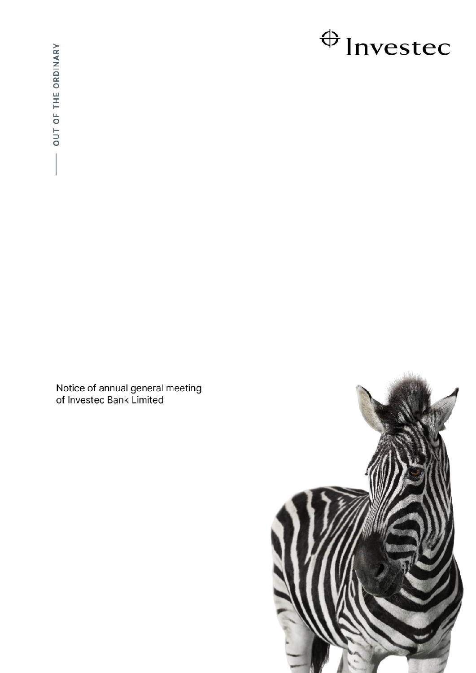# $\bigoplus$  Investec

Notice of annual general meeting<br>of Investec Bank Limited

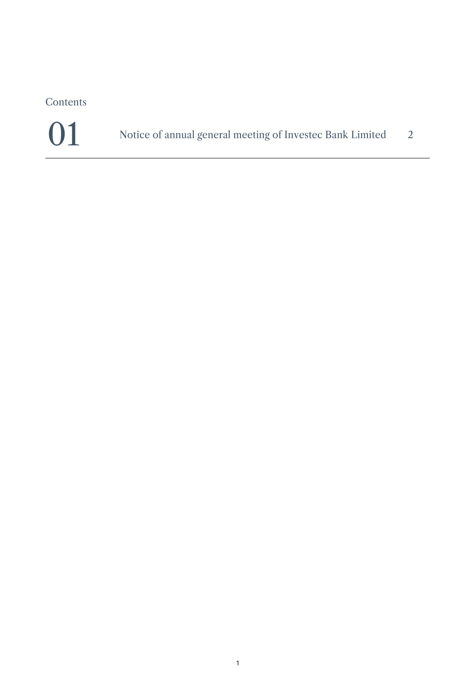Contents



01 Notice of annual general meeting of Investec Bank Limited 2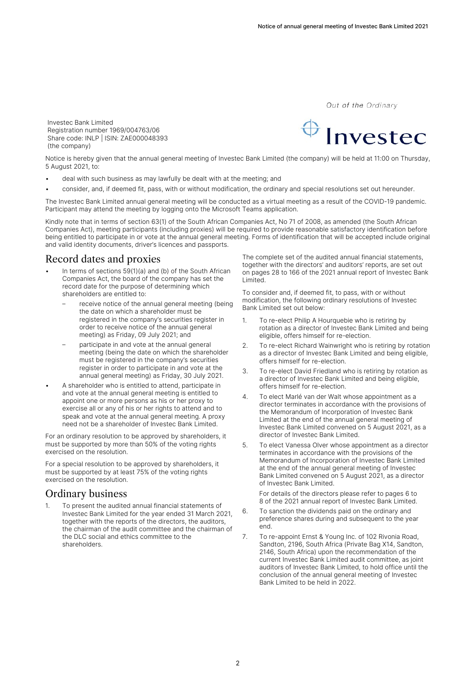Out of the Ordinary

Investec Bank Limited Registration number 1969/004763/06 Share code: INLP | ISIN: ZAE000048393 (the company)



Notice is hereby given that the annual general meeting of Investec Bank Limited (the company) will be held at 11:00 on Thursday, 5 August 2021, to:

- deal with such business as may lawfully be dealt with at the meeting; and
- consider, and, if deemed fit, pass, with or without modification, the ordinary and special resolutions set out hereunder.

The Investec Bank Limited annual general meeting will be conducted as a virtual meeting as a result of the COVID-19 pandemic. Participant may attend the meeting by logging onto the Microsoft Teams application.

Kindly note that in terms of section 63(1) of the South African Companies Act, No 71 of 2008, as amended (the South African Companies Act), meeting participants (including proxies) will be required to provide reasonable satisfactory identification before being entitled to participate in or vote at the annual general meeting. Forms of identification that will be accepted include original and valid identity documents, driver's licences and passports.

# Record dates and proxies

- In terms of sections 59(1)(a) and (b) of the South African Companies Act, the board of the company has set the record date for the purpose of determining which shareholders are entitled to:
	- receive notice of the annual general meeting (being the date on which a shareholder must be registered in the company's securities register in order to receive notice of the annual general meeting) as Friday, 09 July 2021; and
	- participate in and vote at the annual general meeting (being the date on which the shareholder must be registered in the company's securities register in order to participate in and vote at the annual general meeting) as Friday, 30 July 2021.
- A shareholder who is entitled to attend, participate in and vote at the annual general meeting is entitled to appoint one or more persons as his or her proxy to exercise all or any of his or her rights to attend and to speak and vote at the annual general meeting. A proxy need not be a shareholder of Investec Bank Limited.

For an ordinary resolution to be approved by shareholders, it must be supported by more than 50% of the voting rights exercised on the resolution.

For a special resolution to be approved by shareholders, it must be supported by at least 75% of the voting rights exercised on the resolution.

### Ordinary business

1. To present the audited annual financial statements of Investec Bank Limited for the year ended 31 March 2021, together with the reports of the directors, the auditors, the chairman of the audit committee and the chairman of the DLC social and ethics committee to the shareholders.

The complete set of the audited annual financial statements, together with the directors' and auditors' reports, are set out on pages 28 to 166 of the 2021 annual report of Investec Bank Limited.

To consider and, if deemed fit, to pass, with or without modification, the following ordinary resolutions of Investec Bank Limited set out below:

- 1. To re-elect Philip A Hourquebie who is retiring by rotation as a director of Investec Bank Limited and being eligible, offers himself for re-election.
- 2. To re-elect Richard Wainwright who is retiring by rotation as a director of Investec Bank Limited and being eligible, offers himself for re-election.
- 3. To re-elect David Friedland who is retiring by rotation as a director of Investec Bank Limited and being eligible, offers himself for re-election.
- 4. To elect Marlé van der Walt whose appointment as a director terminates in accordance with the provisions of the Memorandum of Incorporation of Investec Bank Limited at the end of the annual general meeting of Investec Bank Limited convened on 5 August 2021, as a director of Investec Bank Limited.
- 5. To elect Vanessa Olver whose appointment as a director terminates in accordance with the provisions of the Memorandum of Incorporation of Investec Bank Limited at the end of the annual general meeting of Investec Bank Limited convened on 5 August 2021, as a director of Investec Bank Limited.

 For details of the directors please refer to pages 6 to 8 of the 2021 annual report of Investec Bank Limited.

- 6. To sanction the dividends paid on the ordinary and preference shares during and subsequent to the year end.
- 7. To re-appoint Ernst & Young Inc. of 102 Rivonia Road, Sandton, 2196, South Africa (Private Bag X14, Sandton, 2146, South Africa) upon the recommendation of the current Investec Bank Limited audit committee, as joint auditors of Investec Bank Limited, to hold office until the conclusion of the annual general meeting of Investec Bank Limited to be held in 2022.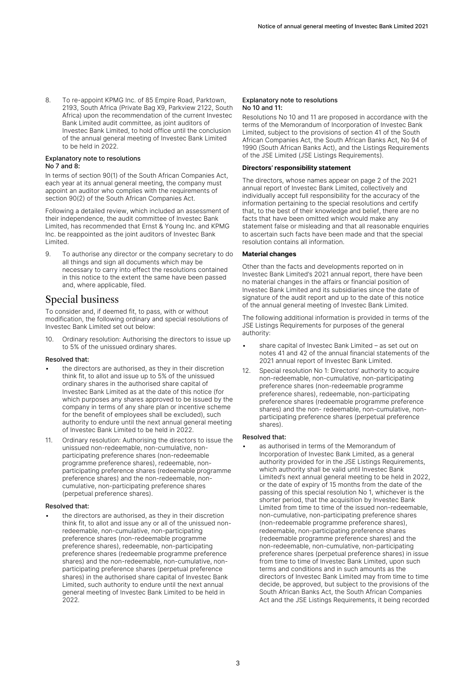8. To re-appoint KPMG Inc. of 85 Empire Road, Parktown, 2193, South Africa (Private Bag X9, Parkview 2122, South Africa) upon the recommendation of the current Investec Bank Limited audit committee, as joint auditors of Investec Bank Limited, to hold office until the conclusion of the annual general meeting of Investec Bank Limited to be held in 2022.

#### Explanatory note to resolutions No 7 and 8:

In terms of section 90(1) of the South African Companies Act, each year at its annual general meeting, the company must appoint an auditor who complies with the requirements of section 90(2) of the South African Companies Act.

Following a detailed review, which included an assessment of their independence, the audit committee of Investec Bank Limited, has recommended that Ernst & Young Inc. and KPMG Inc. be reappointed as the joint auditors of Investec Bank Limited.

9. To authorise any director or the company secretary to do all things and sign all documents which may be necessary to carry into effect the resolutions contained in this notice to the extent the same have been passed and, where applicable, filed.

# Special business

To consider and, if deemed fit, to pass, with or without modification, the following ordinary and special resolutions of Investec Bank Limited set out below:

10. Ordinary resolution: Authorising the directors to issue up to 5% of the unissued ordinary shares.

#### Resolved that:

- the directors are authorised, as they in their discretion think fit, to allot and issue up to 5% of the unissued ordinary shares in the authorised share capital of Investec Bank Limited as at the date of this notice (for which purposes any shares approved to be issued by the company in terms of any share plan or incentive scheme for the benefit of employees shall be excluded), such authority to endure until the next annual general meeting of Investec Bank Limited to be held in 2022.
- 11. Ordinary resolution: Authorising the directors to issue the unissued non-redeemable, non-cumulative, nonparticipating preference shares (non-redeemable programme preference shares), redeemable, nonparticipating preference shares (redeemable programme preference shares) and the non-redeemable, noncumulative, non-participating preference shares (perpetual preference shares).

#### Resolved that:

the directors are authorised, as they in their discretion think fit, to allot and issue any or all of the unissued nonredeemable, non-cumulative, non-participating preference shares (non-redeemable programme preference shares), redeemable, non-participating preference shares (redeemable programme preference shares) and the non-redeemable, non-cumulative, nonparticipating preference shares (perpetual preference shares) in the authorised share capital of Investec Bank Limited, such authority to endure until the next annual general meeting of Investec Bank Limited to be held in 2022.

#### Explanatory note to resolutions No 10 and 11:

Resolutions No 10 and 11 are proposed in accordance with the terms of the Memorandum of Incorporation of Investec Bank Limited, subject to the provisions of section 41 of the South African Companies Act, the South African Banks Act, No 94 of 1990 (South African Banks Act), and the Listings Requirements of the JSE Limited (JSE Listings Requirements).

#### **Directors' responsibility statement**

The directors, whose names appear on page 2 of the 2021 annual report of Investec Bank Limited, collectively and individually accept full responsibility for the accuracy of the information pertaining to the special resolutions and certify that, to the best of their knowledge and belief, there are no facts that have been omitted which would make any statement false or misleading and that all reasonable enquiries to ascertain such facts have been made and that the special resolution contains all information.

#### **Material changes**

Other than the facts and developments reported on in Investec Bank Limited's 2021 annual report, there have been no material changes in the affairs or financial position of Investec Bank Limited and its subsidiaries since the date of signature of the audit report and up to the date of this notice of the annual general meeting of Investec Bank Limited.

The following additional information is provided in terms of the JSE Listings Requirements for purposes of the general authority:

- share capital of Investec Bank Limited as set out on notes 41 and 42 of the annual financial statements of the 2021 annual report of Investec Bank Limited.
- 12. Special resolution No 1: Directors' authority to acquire non-redeemable, non-cumulative, non-participating preference shares (non-redeemable programme preference shares), redeemable, non-participating preference shares (redeemable programme preference shares) and the non- redeemable, non-cumulative, nonparticipating preference shares (perpetual preference shares).

#### Resolved that:

as authorised in terms of the Memorandum of Incorporation of Investec Bank Limited, as a general authority provided for in the JSE Listings Requirements, which authority shall be valid until Investec Bank Limited's next annual general meeting to be held in 2022, or the date of expiry of 15 months from the date of the passing of this special resolution No 1, whichever is the shorter period, that the acquisition by Investec Bank Limited from time to time of the issued non-redeemable, non-cumulative, non-participating preference shares (non-redeemable programme preference shares), redeemable, non-participating preference shares (redeemable programme preference shares) and the non-redeemable, non-cumulative, non-participating preference shares (perpetual preference shares) in issue from time to time of Investec Bank Limited, upon such terms and conditions and in such amounts as the directors of Investec Bank Limited may from time to time decide, be approved, but subject to the provisions of the South African Banks Act, the South African Companies Act and the JSE Listings Requirements, it being recorded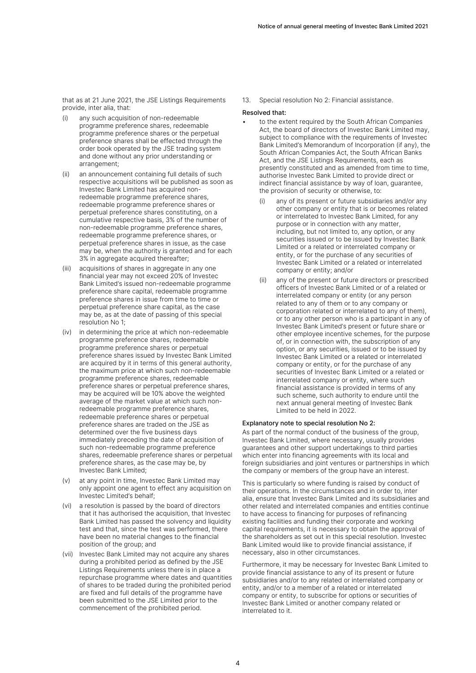that as at 21 June 2021, the JSE Listings Requirements provide, inter alia, that:

- (i) any such acquisition of non-redeemable programme preference shares, redeemable programme preference shares or the perpetual preference shares shall be effected through the order book operated by the JSE trading system and done without any prior understanding or arrangement;
- (ii) an announcement containing full details of such respective acquisitions will be published as soon as Investec Bank Limited has acquired nonredeemable programme preference shares, redeemable programme preference shares or perpetual preference shares constituting, on a cumulative respective basis, 3% of the number of non-redeemable programme preference shares, redeemable programme preference shares, or perpetual preference shares in issue, as the case may be, when the authority is granted and for each 3% in aggregate acquired thereafter;
- (iii) acquisitions of shares in aggregate in any one financial year may not exceed 20% of Investec Bank Limited's issued non-redeemable programme preference share capital, redeemable programme preference shares in issue from time to time or perpetual preference share capital, as the case may be, as at the date of passing of this special resolution No 1;
- (iv) in determining the price at which non-redeemable programme preference shares, redeemable programme preference shares or perpetual preference shares issued by Investec Bank Limited are acquired by it in terms of this general authority, the maximum price at which such non-redeemable programme preference shares, redeemable preference shares or perpetual preference shares, may be acquired will be 10% above the weighted average of the market value at which such nonredeemable programme preference shares, redeemable preference shares or perpetual preference shares are traded on the JSE as determined over the five business days immediately preceding the date of acquisition of such non-redeemable programme preference shares, redeemable preference shares or perpetual preference shares, as the case may be, by Investec Bank Limited;
- (v) at any point in time, Investec Bank Limited may only appoint one agent to effect any acquisition on Investec Limited's behalf;
- (vi) a resolution is passed by the board of directors that it has authorised the acquisition, that Investec Bank Limited has passed the solvency and liquidity test and that, since the test was performed, there have been no material changes to the financial position of the group; and
- (vii) Investec Bank Limited may not acquire any shares during a prohibited period as defined by the JSE Listings Requirements unless there is in place a repurchase programme where dates and quantities of shares to be traded during the prohibited period are fixed and full details of the programme have been submitted to the JSE Limited prior to the commencement of the prohibited period.

13. Special resolution No 2: Financial assistance.

#### Resolved that:

- to the extent required by the South African Companies Act, the board of directors of Investec Bank Limited may, subject to compliance with the requirements of Invested Bank Limited's Memorandum of Incorporation (if any), the South African Companies Act, the South African Banks Act, and the JSE Listings Requirements, each as presently constituted and as amended from time to time, authorise Investec Bank Limited to provide direct or indirect financial assistance by way of loan, guarantee, the provision of security or otherwise, to:
	- (i) any of its present or future subsidiaries and/or any other company or entity that is or becomes related or interrelated to Investec Bank Limited, for any purpose or in connection with any matter, including, but not limited to, any option, or any securities issued or to be issued by Investec Bank Limited or a related or interrelated company or entity, or for the purchase of any securities of Investec Bank Limited or a related or interrelated company or entity; and/or
	- (ii) any of the present or future directors or prescribed officers of Investec Bank Limited or of a related or interrelated company or entity (or any person related to any of them or to any company or corporation related or interrelated to any of them), or to any other person who is a participant in any of Investec Bank Limited's present or future share or other employee incentive schemes, for the purpose of, or in connection with, the subscription of any option, or any securities, issued or to be issued by Investec Bank Limited or a related or interrelated company or entity, or for the purchase of any securities of Investec Bank Limited or a related or interrelated company or entity, where such financial assistance is provided in terms of any such scheme, such authority to endure until the next annual general meeting of Investec Bank Limited to be held in 2022.

#### Explanatory note to special resolution No 2:

As part of the normal conduct of the business of the group, Investec Bank Limited, where necessary, usually provides guarantees and other support undertakings to third parties which enter into financing agreements with its local and foreign subsidiaries and joint ventures or partnerships in which the company or members of the group have an interest.

This is particularly so where funding is raised by conduct of their operations. In the circumstances and in order to, inter alia, ensure that Investec Bank Limited and its subsidiaries and other related and interrelated companies and entities continue to have access to financing for purposes of refinancing existing facilities and funding their corporate and working capital requirements, it is necessary to obtain the approval of the shareholders as set out in this special resolution. Investec Bank Limited would like to provide financial assistance, if necessary, also in other circumstances.

Furthermore, it may be necessary for Investec Bank Limited to provide financial assistance to any of its present or future subsidiaries and/or to any related or interrelated company or entity, and/or to a member of a related or interrelated company or entity, to subscribe for options or securities of Investec Bank Limited or another company related or interrelated to it.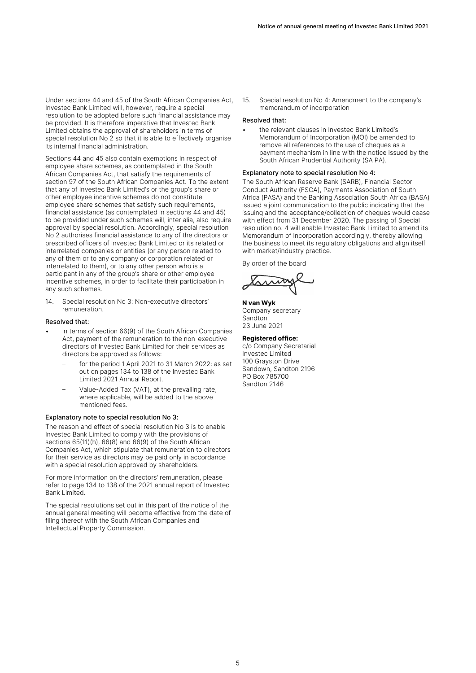Under sections 44 and 45 of the South African Companies Act, Investec Bank Limited will, however, require a special resolution to be adopted before such financial assistance may be provided. It is therefore imperative that Investec Bank Limited obtains the approval of shareholders in terms of special resolution No 2 so that it is able to effectively organise its internal financial administration.

Sections 44 and 45 also contain exemptions in respect of employee share schemes, as contemplated in the South African Companies Act, that satisfy the requirements of section 97 of the South African Companies Act. To the extent that any of Investec Bank Limited's or the group's share or other employee incentive schemes do not constitute employee share schemes that satisfy such requirements, financial assistance (as contemplated in sections 44 and 45) to be provided under such schemes will, inter alia, also require approval by special resolution. Accordingly, special resolution No 2 authorises financial assistance to any of the directors or prescribed officers of Investec Bank Limited or its related or interrelated companies or entities (or any person related to any of them or to any company or corporation related or interrelated to them), or to any other person who is a participant in any of the group's share or other employee incentive schemes, in order to facilitate their participation in any such schemes.

14. Special resolution No 3: Non-executive directors' remuneration.

#### Resolved that:

- in terms of section 66(9) of the South African Companies Act, payment of the remuneration to the non-executive directors of Investec Bank Limited for their services as directors be approved as follows:
	- for the period 1 April 2021 to 31 March 2022: as set out on pages 134 to 138 of the Investec Bank Limited 2021 Annual Report.
	- Value-Added Tax (VAT), at the prevailing rate, where applicable, will be added to the above mentioned fees.

#### Explanatory note to special resolution No 3:

The reason and effect of special resolution No 3 is to enable Investec Bank Limited to comply with the provisions of sections 65(11)(h), 66(8) and 66(9) of the South African Companies Act, which stipulate that remuneration to directors for their service as directors may be paid only in accordance with a special resolution approved by shareholders.

For more information on the directors' remuneration, please refer to page 134 to 138 of the 2021 annual report of Investec Bank Limited.

The special resolutions set out in this part of the notice of the annual general meeting will become effective from the date of filing thereof with the South African Companies and Intellectual Property Commission.

15. Special resolution No 4: Amendment to the company's memorandum of incorporation

#### Resolved that:

• the relevant clauses in Investec Bank Limited's Memorandum of Incorporation (MOI) be amended to remove all references to the use of cheques as a payment mechanism in line with the notice issued by the South African Prudential Authority (SA PA).

#### Explanatory note to special resolution No 4:

The South African Reserve Bank (SARB), Financial Sector Conduct Authority (FSCA), Payments Association of South Africa (PASA) and the Banking Association South Africa (BASA) issued a joint communication to the public indicating that the issuing and the acceptance/collection of cheques would cease with effect from 31 December 2020. The passing of Special resolution no. 4 will enable Investec Bank Limited to amend its Memorandum of Incorporation accordingly, thereby allowing the business to meet its regulatory obligations and align itself with market/industry practice.

By order of the board

**N van Wyk** Company secretary Sandton 23 June 2021

#### **Registered office:**

c/o Company Secretarial Investec Limited 100 Grayston Drive Sandown, Sandton 2196 PO Box 785700 Sandton 2146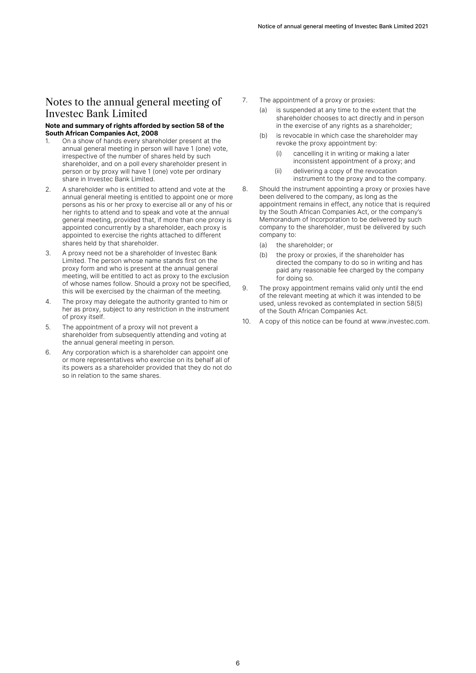# Notes to the annual general meeting of Investec Bank Limited

#### **Note and summary of rights afforded by section 58 of the South African Companies Act, 2008**

- 1. On a show of hands every shareholder present at the annual general meeting in person will have 1 (one) vote, irrespective of the number of shares held by such shareholder, and on a poll every shareholder present in person or by proxy will have 1 (one) vote per ordinary share in Investec Bank Limited.
- 2. A shareholder who is entitled to attend and vote at the annual general meeting is entitled to appoint one or more persons as his or her proxy to exercise all or any of his or her rights to attend and to speak and vote at the annual general meeting, provided that, if more than one proxy is appointed concurrently by a shareholder, each proxy is appointed to exercise the rights attached to different shares held by that shareholder.
- 3. A proxy need not be a shareholder of Investec Bank Limited. The person whose name stands first on the proxy form and who is present at the annual general meeting, will be entitled to act as proxy to the exclusion of whose names follow. Should a proxy not be specified, this will be exercised by the chairman of the meeting.
- 4. The proxy may delegate the authority granted to him or her as proxy, subject to any restriction in the instrument of proxy itself.
- 5. The appointment of a proxy will not prevent a shareholder from subsequently attending and voting at the annual general meeting in person.
- 6. Any corporation which is a shareholder can appoint one or more representatives who exercise on its behalf all of its powers as a shareholder provided that they do not do so in relation to the same shares.
- 7. The appointment of a proxy or proxies:
	- (a) is suspended at any time to the extent that the shareholder chooses to act directly and in person in the exercise of any rights as a shareholder;
	- (b) is revocable in which case the shareholder may revoke the proxy appointment by:
		- (i) cancelling it in writing or making a later inconsistent appointment of a proxy; and
		- (ii) delivering a copy of the revocation instrument to the proxy and to the company.
- 8. Should the instrument appointing a proxy or proxies have been delivered to the company, as long as the appointment remains in effect, any notice that is required by the South African Companies Act, or the company's Memorandum of Incorporation to be delivered by such company to the shareholder, must be delivered by such company to:
	- (a) the shareholder; or
	- (b) the proxy or proxies, if the shareholder has directed the company to do so in writing and has paid any reasonable fee charged by the company for doing so.
- 9. The proxy appointment remains valid only until the end of the relevant meeting at which it was intended to be used, unless revoked as contemplated in section 58(5) of the South African Companies Act.
- 10. A copy of this notice can be found at www.investec.com.